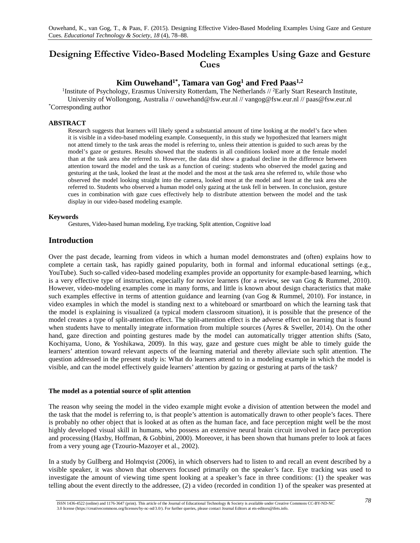# **Designing Effective Video-Based Modeling Examples Using Gaze and Gesture Cues**

# **Kim Ouwehand1\*, Tamara van Gog1 and Fred Paas1,2**

<sup>1</sup>Institute of Psychology, Erasmus University Rotterdam, The Netherlands // <sup>2</sup>Early Start Research Institute, University of Wollongong, Australia // ouwehand@fsw.eur.nl // vangog@fsw.eur.nl // paas@fsw.eur.nl \* Corresponding author

# **ABSTRACT**

Research suggests that learners will likely spend a substantial amount of time looking at the model's face when it is visible in a video-based modeling example. Consequently, in this study we hypothesized that learners might not attend timely to the task areas the model is referring to, unless their attention is guided to such areas by the model's gaze or gestures. Results showed that the students in all conditions looked more at the female model than at the task area she referred to. However, the data did show a gradual decline in the difference between attention toward the model and the task as a function of cueing: students who observed the model gazing and gesturing at the task, looked the least at the model and the most at the task area she referred to, while those who observed the model looking straight into the camera, looked most at the model and least at the task area she referred to. Students who observed a human model only gazing at the task fell in between. In conclusion, gesture cues in combination with gaze cues effectively help to distribute attention between the model and the task display in our video-based modeling example.

# **Keywords**

Gestures, Video-based human modeling, Eye tracking, Split attention, Cognitive load

# **Introduction**

Over the past decade, learning from videos in which a human model demonstrates and (often) explains how to complete a certain task, has rapidly gained popularity, both in formal and informal educational settings (e.g., YouTube). Such so-called video-based modeling examples provide an opportunity for example-based learning, which is a very effective type of instruction, especially for novice learners (for a review, see van Gog & Rummel, 2010). However, video-modeling examples come in many forms, and little is known about design characteristics that make such examples effective in terms of attention guidance and learning (van Gog & Rummel, 2010). For instance, in video examples in which the model is standing next to a whiteboard or smartboard on which the learning task that the model is explaining is visualized (a typical modern classroom situation), it is possible that the presence of the model creates a type of split-attention effect. The split-attention effect is the adverse effect on learning that is found when students have to mentally integrate information from multiple sources (Ayres & Sweller, 2014). On the other hand, gaze direction and pointing gestures made by the model can automatically trigger attention shifts (Sato, Kochiyama, Uono, & Yoshikawa, 2009). In this way, gaze and gesture cues might be able to timely guide the learners' attention toward relevant aspects of the learning material and thereby alleviate such split attention. The question addressed in the present study is: What do learners attend to in a modeling example in which the model is visible, and can the model effectively guide learners' attention by gazing or gesturing at parts of the task?

# **The model as a potential source of split attention**

The reason why seeing the model in the video example might evoke a division of attention between the model and the task that the model is referring to, is that people's attention is automatically drawn to other people's faces. There is probably no other object that is looked at as often as the human face, and face perception might well be the most highly developed visual skill in humans, who possess an extensive neural brain circuit involved in face perception and processing (Haxby, Hoffman, & Gobbini, 2000). Moreover, it has been shown that humans prefer to look at faces from a very young age (Tzourio-Mazoyer et al., 2002).

In a study by Gullberg and Holmqvist (2006), in which observers had to listen to and recall an event described by a visible speaker, it was shown that observers focused primarily on the speaker's face. Eye tracking was used to investigate the amount of viewing time spent looking at a speaker's face in three conditions: (1) the speaker was telling about the event directly to the addressee, (2) a video (recorded in condition 1) of the speaker was presented at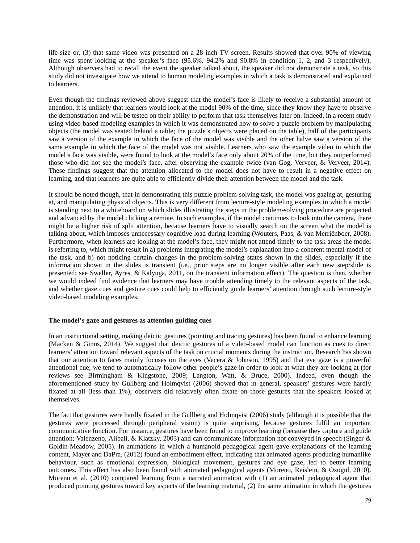life-size or, (3) that same video was presented on a 28 inch TV screen. Results showed that over 90% of viewing time was spent looking at the speaker's face (95.6%, 94.2% and 90.8% in condition 1, 2, and 3 respectively). Although observers had to recall the event the speaker talked about, the speaker did not demonstrate a task, so this study did not investigate how we attend to human modeling examples in which a task is demonstrated and explained to learners.

Even though the findings reviewed above suggest that the model's face is likely to receive a substantial amount of attention, it is unlikely that learners would look at the model 90% of the time, since they know they have to observe the demonstration and will be tested on their ability to perform that task themselves later on. Indeed, in a recent study using video-based modeling examples in which it was demonstrated how to solve a puzzle problem by manipulating objects (the model was seated behind a table; the puzzle's objects were placed on the table), half of the participants saw a version of the example in which the face of the model was visible and the other halve saw a version of the same example in which the face of the model was not visible. Learners who saw the example video in which the model's face was visible, were found to look at the model's face only about 20% of the time, but they outperformed those who did not see the model's face, after observing the example twice (van Gog, Verveer, & Verveer, 2014). These findings suggest that the attention allocated to the model does not have to result in a negative effect on learning, and that learners are quite able to efficiently divide their attention between the model and the task.

It should be noted though, that in demonstrating this puzzle problem-solving task, the model was gazing at, gesturing at, and manipulating physical objects. This is very different from lecture-style modeling examples in which a model is standing next to a whiteboard on which slides illustrating the steps in the problem-solving procedure are projected and advanced by the model clicking a remote. In such examples, if the model continues to look into the camera, there might be a higher risk of split attention, because learners have to visually search on the screen what the model is talking about, which imposes unnecessary cognitive load during learning (Wouters, Paas, & van Merriënboer, 2008). Furthermore, when learners are looking at the model's face, they might not attend timely to the task areas the model is referring to, which might result in a) problems integrating the model's explanation into a coherent mental model of the task, and b) not noticing certain changes in the problem-solving states shown in the slides, especially if the information shown in the slides is transient (i.e., prior steps are no longer visible after each new step/slide is presented; see Sweller, Ayres, & Kalyuga, 2011, on the transient information effect). The question is then, whether we would indeed find evidence that learners may have trouble attending timely to the relevant aspects of the task, and whether gaze cues and gesture cues could help to efficiently guide learners' attention through such lecture-style video-based modeling examples.

# **The model's gaze and gestures as attention guiding cues**

In an instructional setting, making deictic gestures (pointing and tracing gestures) has been found to enhance learning (Macken & Ginns, 2014). We suggest that deictic gestures of a video-based model can function as cues to direct learners' attention toward relevant aspects of the task on crucial moments during the instruction. Research has shown that our attention to faces mainly focuses on the eyes (Vecera & Johnson, 1995) and that eye gaze is a powerful attentional cue; we tend to automatically follow other people's gaze in order to look at what they are looking at (for reviews see Birmingham & Kingstone, 2009; Langton, Watt, & Bruce, 2000). Indeed, even though the aforementioned study by Gullberg and Holmqvist (2006) showed that in general, speakers' gestures were hardly fixated at all (less than 1%); observers did relatively often fixate on those gestures that the speakers looked at themselves.

The fact that gestures were hardly fixated in the Gullberg and Holmqvist (2006) study (although it is possible that the gestures were processed through peripheral vision) is quite surprising, because gestures fulfil an important communicative function. For instance, gestures have been found to improve learning (because they capture and guide attention; Valenzeno, Alibali, & Klatzky, 2003) and can communicate information not conveyed in speech (Singer & Goldin-Meadow, 2005). In animations in which a humanoid pedagogical agent gave explanations of the learning content, Mayer and DaPra, (2012) found an embodiment effect, indicating that animated agents producing humanlike behaviour, such as emotional expression, biological movement, gestures and eye gaze, led to better learning outcomes. This effect has also been found with animated pedagogical agents (Moreno, Reislein, & Ozogul, 2010). Moreno et al. (2010) compared learning from a narrated animation with (1) an animated pedagogical agent that produced pointing gestures toward key aspects of the learning material, (2) the same animation in which the gestures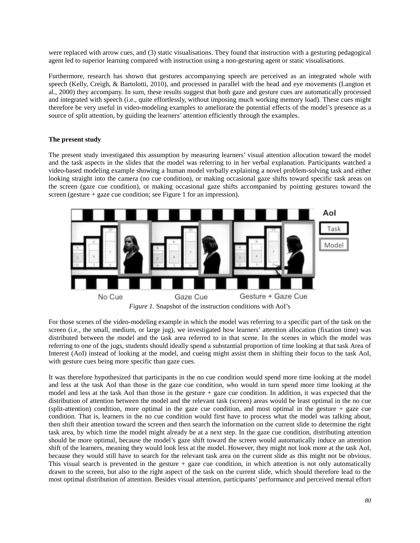were replaced with arrow cues, and (3) static visualisations. They found that instruction with a gesturing pedagogical agent led to superior learning compared with instruction using a non-gesturing agent or static visualisations.

Furthermore, research has shown that gestures accompanying speech are perceived as an integrated whole with speech (Kelly, Creigh, & Bartolotti, 2010), and processed in parallel with the head and eye movements (Langton et al., 2000) they accompany. In sum, these results suggest that both gaze and gesture cues are automatically processed and integrated with speech (i.e., quite effortlessly, without imposing much working memory load). These cues might therefore be very useful in video-modeling examples to ameliorate the potential effects of the model's presence as a source of split attention, by guiding the learners' attention efficiently through the examples.

# **The present study**

The present study investigated this assumption by measuring learners' visual attention allocation toward the model and the task aspects in the slides that the model was referring to in her verbal explanation. Participants watched a video-based modeling example showing a human model verbally explaining a novel problem-solving task and either looking straight into the camera (no cue condition), or making occasional gaze shifts toward specific task areas on the screen (gaze cue condition), or making occasional gaze shifts accompanied by pointing gestures toward the screen (gesture + gaze cue condition; see Figure 1 for an impression).





For those scenes of the video-modeling example in which the model was referring to a specific part of the task on the screen (i.e., the small, medium, or large jug), we investigated how learners' attention allocation (fixation time) was distributed between the model and the task area referred to in that scene. In the scenes in which the model was referring to one of the jugs, students should ideally spend a substantial proportion of time looking at that task Area of Interest (AoI) instead of looking at the model, and cueing might assist them in shifting their focus to the task AoI, with gesture cues being more specific than gaze cues.

It was therefore hypothesized that participants in the no cue condition would spend more time looking at the model and less at the task AoI than those in the gaze cue condition, who would in turn spend more time looking at the model and less at the task AoI than those in the gesture + gaze cue condition. In addition, it was expected that the distribution of attention between the model and the relevant task (screen) areas would be least optimal in the no cue (split-attention) condition, more optimal in the gaze cue condition, and most optimal in the gesture + gaze cue condition. That is, learners in the no cue condition would first have to process what the model was talking about, then shift their attention toward the screen and then search the information on the current slide to determine the right task area, by which time the model might already be at a next step. In the gaze cue condition, distributing attention should be more optimal, because the model's gaze shift toward the screen would automatically induce an attention shift of the learners, meaning they would look less at the model. However, they might not look more at the task AoI, because they would still have to search for the relevant task area on the current slide as this might not be obvious. This visual search is prevented in the gesture + gaze cue condition, in which attention is not only automatically drawn to the screen, but also to the right aspect of the task on the current slide, which should therefore lead to the most optimal distribution of attention. Besides visual attention, participants' performance and perceived mental effort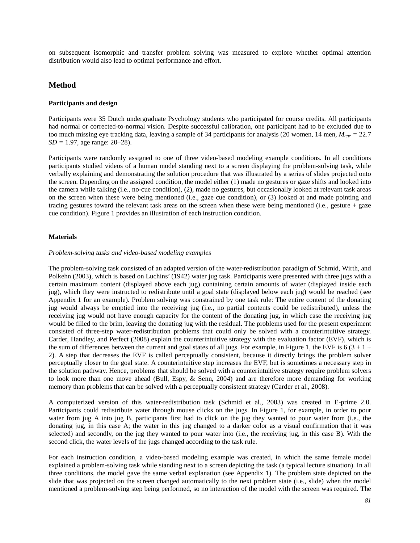on subsequent isomorphic and transfer problem solving was measured to explore whether optimal attention distribution would also lead to optimal performance and effort.

# **Method**

# **Participants and design**

Participants were 35 Dutch undergraduate Psychology students who participated for course credits. All participants had normal or corrected-to-normal vision. Despite successful calibration, one participant had to be excluded due to too much missing eye tracking data, leaving a sample of 34 participants for analysis (20 women, 14 men, *Mage =* 22.7 *SD =* 1.97, age range: 20–28).

Participants were randomly assigned to one of three video-based modeling example conditions. In all conditions participants studied videos of a human model standing next to a screen displaying the problem-solving task, while verbally explaining and demonstrating the solution procedure that was illustrated by a series of slides projected onto the screen. Depending on the assigned condition, the model either (1) made no gestures or gaze shifts and looked into the camera while talking (i.e., no-cue condition), (2), made no gestures, but occasionally looked at relevant task areas on the screen when these were being mentioned (i.e., gaze cue condition), or (3) looked at and made pointing and tracing gestures toward the relevant task areas on the screen when these were being mentioned (i.e., gesture + gaze cue condition). Figure 1 provides an illustration of each instruction condition.

# **Materials**

#### *Problem-solving tasks and video-based modeling examples*

The problem-solving task consisted of an adapted version of the water-redistribution paradigm of Schmid, Wirth, and Polkehn (2003), which is based on Luchins' (1942) water jug task. Participants were presented with three jugs with a certain maximum content (displayed above each jug) containing certain amounts of water (displayed inside each jug), which they were instructed to redistribute until a goal state (displayed below each jug) would be reached (see Appendix 1 for an example). Problem solving was constrained by one task rule: The entire content of the donating jug would always be emptied into the receiving jug (i.e., no partial contents could be redistributed), unless the receiving jug would not have enough capacity for the content of the donating jug, in which case the receiving jug would be filled to the brim, leaving the donating jug with the residual. The problems used for the present experiment consisted of three-step water-redistribution problems that could only be solved with a counterintuitive strategy. Carder, Handley, and Perfect (2008) explain the counterintuitive strategy with the evaluation factor (EVF), which is the sum of differences between the current and goal states of all jugs. For example, in Figure 1, the EVF is 6  $(3 + 1 +$ 2). A step that decreases the EVF is called perceptually consistent, because it directly brings the problem solver perceptually closer to the goal state. A counterintuitive step increases the EVF, but is sometimes a necessary step in the solution pathway. Hence, problems that should be solved with a counterintuitive strategy require problem solvers to look more than one move ahead (Bull, Espy, & Senn, 2004) and are therefore more demanding for working memory than problems that can be solved with a perceptually consistent strategy (Carder et al., 2008).

A computerized version of this water-redistribution task (Schmid et al., 2003) was created in E-prime 2.0. Participants could redistribute water through mouse clicks on the jugs. In Figure 1, for example, in order to pour water from jug A into jug B, participants first had to click on the jug they wanted to pour water from (i.e., the donating jug, in this case A; the water in this jug changed to a darker color as a visual confirmation that it was selected) and secondly, on the jug they wanted to pour water into (i.e., the receiving jug, in this case B). With the second click, the water levels of the jugs changed according to the task rule.

For each instruction condition, a video-based modeling example was created, in which the same female model explained a problem-solving task while standing next to a screen depicting the task (a typical lecture situation). In all three conditions, the model gave the same verbal explanation (see Appendix 1). The problem state depicted on the slide that was projected on the screen changed automatically to the next problem state (i.e., slide) when the model mentioned a problem-solving step being performed, so no interaction of the model with the screen was required. The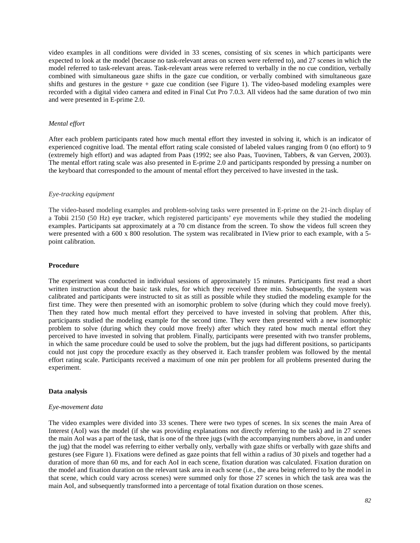video examples in all conditions were divided in 33 scenes, consisting of six scenes in which participants were expected to look at the model (because no task-relevant areas on screen were referred to), and 27 scenes in which the model referred to task-relevant areas. Task-relevant areas were referred to verbally in the no cue condition, verbally combined with simultaneous gaze shifts in the gaze cue condition, or verbally combined with simultaneous gaze shifts and gestures in the gesture + gaze cue condition (see Figure 1). The video-based modeling examples were recorded with a digital video camera and edited in Final Cut Pro 7.0.3. All videos had the same duration of two min and were presented in E-prime 2.0.

#### *Mental effort*

After each problem participants rated how much mental effort they invested in solving it, which is an indicator of experienced cognitive load. The mental effort rating scale consisted of labeled values ranging from 0 (no effort) to 9 (extremely high effort) and was adapted from Paas (1992; see also Paas, Tuovinen, Tabbers, & van Gerven, 2003). The mental effort rating scale was also presented in E-prime 2.0 and participants responded by pressing a number on the keyboard that corresponded to the amount of mental effort they perceived to have invested in the task.

#### *Eye-tracking equipment*

The video-based modeling examples and problem-solving tasks were presented in E-prime on the 21-inch display of a Tobii 2150 (50 Hz) eye tracker, which registered participants' eye movements while they studied the modeling examples. Participants sat approximately at a 70 cm distance from the screen. To show the videos full screen they were presented with a 600 x 800 resolution. The system was recalibrated in IView prior to each example, with a 5point calibration.

#### **Procedure**

The experiment was conducted in individual sessions of approximately 15 minutes. Participants first read a short written instruction about the basic task rules, for which they received three min. Subsequently, the system was calibrated and participants were instructed to sit as still as possible while they studied the modeling example for the first time. They were then presented with an isomorphic problem to solve (during which they could move freely). Then they rated how much mental effort they perceived to have invested in solving that problem. After this, participants studied the modeling example for the second time. They were then presented with a new isomorphic problem to solve (during which they could move freely) after which they rated how much mental effort they perceived to have invested in solving that problem. Finally, participants were presented with two transfer problems, in which the same procedure could be used to solve the problem, but the jugs had different positions, so participants could not just copy the procedure exactly as they observed it. Each transfer problem was followed by the mental effort rating scale. Participants received a maximum of one min per problem for all problems presented during the experiment.

# **Data** a**nalysis**

#### *Eye-movement data*

The video examples were divided into 33 scenes. There were two types of scenes. In six scenes the main Area of Interest (AoI) was the model (if she was providing explanations not directly referring to the task) and in 27 scenes the main AoI was a part of the task, that is one of the three jugs (with the accompanying numbers above, in and under the jug) that the model was referring to either verbally only, verbally with gaze shifts or verbally with gaze shifts and gestures (see Figure 1). Fixations were defined as gaze points that fell within a radius of 30 pixels and together had a duration of more than 60 ms, and for each AoI in each scene, fixation duration was calculated. Fixation duration on the model and fixation duration on the relevant task area in each scene (i.e., the area being referred to by the model in that scene, which could vary across scenes) were summed only for those 27 scenes in which the task area was the main AoI, and subsequently transformed into a percentage of total fixation duration on those scenes.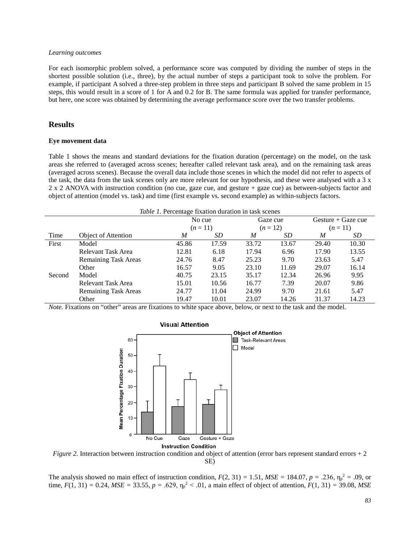#### *Learning outcomes*

For each isomorphic problem solved, a performance score was computed by dividing the number of steps in the shortest possible solution (i.e., three), by the actual number of steps a participant took to solve the problem. For example, if participant A solved a three-step problem in three steps and participant B solved the same problem in 15 steps, this would result in a score of 1 for A and 0.2 for B. The same formula was applied for transfer performance, but here, one score was obtained by determining the average performance score over the two transfer problems.

# **Results**

# **Eye movement data**

Table 1 shows the means and standard deviations for the fixation duration (percentage) on the model, on the task areas she referred to (averaged across scenes; hereafter called relevant task area), and on the remaining task areas (averaged across scenes). Because the overall data include those scenes in which the model did not refer to aspects of the task, the data from the task scenes only are more relevant for our hypothesis, and these were analysed with a 3 x 2 x 2 ANOVA with instruction condition (no cue, gaze cue, and gesture + gaze cue) as between-subjects factor and object of attention (model vs. task) and time (first example vs. second example) as within-subjects factors.

| Table 1. Percentage fixation duration in task scenes |                             |          |       |            |       |                      |       |  |  |  |  |
|------------------------------------------------------|-----------------------------|----------|-------|------------|-------|----------------------|-------|--|--|--|--|
|                                                      |                             | No cue   |       | Gaze cue   |       | Gesture $+$ Gaze cue |       |  |  |  |  |
|                                                      |                             | $(n=11)$ |       | $(n = 12)$ |       | $(n=11)$             |       |  |  |  |  |
| Time                                                 | Object of Attention         | M        | SD    | M          | SD    | M                    | SD    |  |  |  |  |
| First                                                | Model                       | 45.86    | 17.59 | 33.72      | 13.67 | 29.40                | 10.30 |  |  |  |  |
|                                                      | Relevant Task Area          | 12.81    | 6.18  | 17.94      | 6.96  | 17.90                | 13.55 |  |  |  |  |
|                                                      | <b>Remaining Task Areas</b> | 24.76    | 8.47  | 25.23      | 9.70  | 23.63                | 5.47  |  |  |  |  |
|                                                      | Other                       | 16.57    | 9.05  | 23.10      | 11.69 | 29.07                | 16.14 |  |  |  |  |
| Second                                               | Model                       | 40.75    | 23.15 | 35.17      | 12.34 | 26.96                | 9.95  |  |  |  |  |
|                                                      | Relevant Task Area          | 15.01    | 10.56 | 16.77      | 7.39  | 20.07                | 9.86  |  |  |  |  |
|                                                      | <b>Remaining Task Areas</b> | 24.77    | 11.04 | 24.99      | 9.70  | 21.61                | 5.47  |  |  |  |  |
|                                                      | Other                       | 19.47    | 10.01 | 23.07      | 14.26 | 31.37                | 14.23 |  |  |  |  |

*Note.* Fixations on "other" areas are fixations to white space above, below, or next to the task and the model.

**Visual Attention** 





The analysis showed no main effect of instruction condition,  $F(2, 31) = 1.51$ ,  $MSE = 184.07$ ,  $p = .236$ ,  $\eta_p^2 = .09$ , or time,  $F(1, 31) = 0.24$ ,  $MSE = 33.55$ ,  $p = .629$ ,  $\eta_p^2 < .01$ , a main effect of object of attention,  $F(1, 31) = 39.08$ , MSE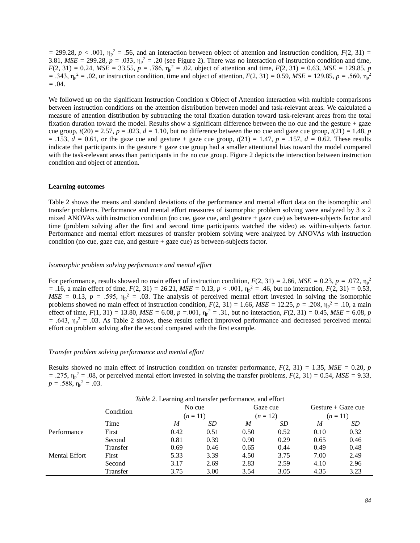$=$  299.28,  $p < .001$ ,  $\eta_p^2 = .56$ , and an interaction between object of attention and instruction condition,  $F(2, 31) =$ 3.81,  $MSE = 299.28$ ,  $p = .033$ ,  $\eta_p^2 = .20$  (see Figure 2). There was no interaction of instruction condition and time,  $F(2, 31) = 0.24$ ,  $MSE = 33.55$ ,  $p = .786$ ,  $\eta_p^2 = .02$ , object of attention and time,  $F(2, 31) = 0.63$ ,  $MSE = 129.85$ ,  $p = .786$  $=$  .343,  $η<sub>p</sub><sup>2</sup> = .02$ , or instruction condition, time and object of attention, *F*(2, 31) = 0.59, *MSE* = 129.85, *p* = .560,  $η<sub>p</sub><sup>2</sup>$ *=* .04.

We followed up on the significant Instruction Condition x Object of Attention interaction with multiple comparisons between instruction conditions on the attention distribution between model and task-relevant areas. We calculated a measure of attention distribution by subtracting the total fixation duration toward task-relevant areas from the total fixation duration toward the model. Results show a significant difference between the no cue and the gesture + gaze cue group,  $t(20) = 2.57$ ,  $p = .023$ ,  $d = 1.10$ , but no difference between the no cue and gaze cue group,  $t(21) = 1.48$ , *p*  $= .153, d = 0.61$ , or the gaze cue and gesture + gaze cue group,  $t(21) = 1.47, p = .157, d = 0.62$ . These results indicate that participants in the gesture + gaze cue group had a smaller attentional bias toward the model compared with the task-relevant areas than participants in the no cue group. Figure 2 depicts the interaction between instruction condition and object of attention.

#### **Learning outcomes**

Table 2 shows the means and standard deviations of the performance and mental effort data on the isomorphic and transfer problems. Performance and mental effort measures of isomorphic problem solving were analyzed by 3 x 2 mixed ANOVAs with instruction condition (no cue, gaze cue, and gesture + gaze cue) as between-subjects factor and time (problem solving after the first and second time participants watched the video) as within-subjects factor. Performance and mental effort measures of transfer problem solving were analyzed by ANOVAs with instruction condition (no cue, gaze cue, and gesture + gaze cue) as between-subjects factor.

#### *Isomorphic problem solving performance and mental effort*

For performance, results showed no main effect of instruction condition,  $F(2, 31) = 2.86$ ,  $MSE = 0.23$ ,  $p = .072$ ,  $\eta_p^2$ *=* .16, a main effect of time,  $F(2, 31) = 26.21$ ,  $MSE = 0.13$ ,  $p < .001$ ,  $\eta_p^2 = .46$ , but no interaction,  $F(2, 31) = 0.53$ ,  $MSE = 0.13$ ,  $p = .595$ ,  $\eta_p^2 = .03$ . The analysis of perceived mental effort invested in solving the isomorphic problems showed no main effect of instruction condition,  $F(2, 31) = 1.66$ ,  $MSE = 12.25$ ,  $p = .208$ ,  $\eta_p^2 = .10$ , a main effect of time,  $F(1, 31) = 13.80$ ,  $MSE = 6.08$ ,  $p = .001$ ,  $\eta_p^2 = .31$ , but no interaction,  $F(2, 31) = 0.45$ ,  $MSE = 6.08$ ,  $p = .001$  $=$  .643,  $\eta_p^2 = .03$ . As Table 2 shows, these results reflect improved performance and decreased perceived mental effort on problem solving after the second compared with the first example.

#### *Transfer problem solving performance and mental effort*

Results showed no main effect of instruction condition on transfer performance,  $F(2, 31) = 1.35$ ,  $MSE = 0.20$ , *p*  $= .275$ ,  $\eta_p^2 = .08$ , or perceived mental effort invested in solving the transfer problems,  $F(2, 31) = 0.54$ ,  $MSE = 9.33$ ,  $p = .588, \eta_p^2 = .03.$ 

|                      |           | <i>lable 2</i> . Learning and transfer performance, and effort |                    |      |                      |      |                                  |  |
|----------------------|-----------|----------------------------------------------------------------|--------------------|------|----------------------|------|----------------------------------|--|
|                      | Condition |                                                                | No cue<br>$(n=11)$ |      | Gaze cue<br>$(n=12)$ |      | Gesture $+$ Gaze cue<br>$(n=11)$ |  |
|                      |           |                                                                |                    |      |                      |      |                                  |  |
|                      | Time      | M                                                              | SD                 | M    | SD                   | M    | SD                               |  |
| Performance          | First     | 0.42                                                           | 0.51               | 0.50 | 0.52                 | 0.10 | 0.32                             |  |
|                      | Second    | 0.81                                                           | 0.39               | 0.90 | 0.29                 | 0.65 | 0.46                             |  |
|                      | Transfer  | 0.69                                                           | 0.46               | 0.65 | 0.44                 | 0.49 | 0.48                             |  |
| <b>Mental Effort</b> | First     | 5.33                                                           | 3.39               | 4.50 | 3.75                 | 7.00 | 2.49                             |  |
|                      | Second    | 3.17                                                           | 2.69               | 2.83 | 2.59                 | 4.10 | 2.96                             |  |
|                      | Transfer  | 3.75                                                           | 3.00               | 3.54 | 3.05                 | 4.35 | 3.23                             |  |

*Table 2.* Learning and transfer performance, and effort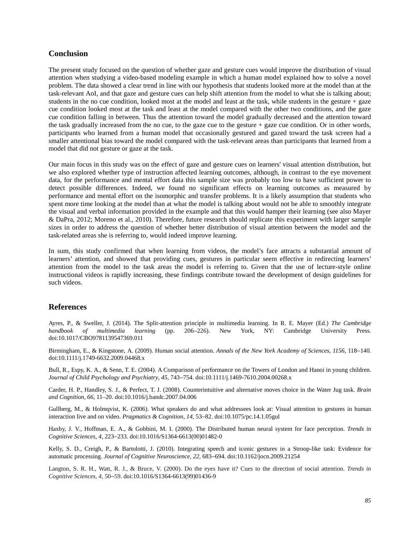# **Conclusion**

The present study focused on the question of whether gaze and gesture cues would improve the distribution of visual attention when studying a video-based modeling example in which a human model explained how to solve a novel problem. The data showed a clear trend in line with our hypothesis that students looked more at the model than at the task-relevant AoI, and that gaze and gesture cues can help shift attention from the model to what she is talking about; students in the no cue condition, looked most at the model and least at the task, while students in the gesture  $+$  gaze cue condition looked most at the task and least at the model compared with the other two conditions, and the gaze cue condition falling in between. Thus the attention toward the model gradually decreased and the attention toward the task gradually increased from the no cue, to the gaze cue to the gesture + gaze cue condition. Or in other words, participants who learned from a human model that occasionally gestured and gazed toward the task screen had a smaller attentional bias toward the model compared with the task-relevant areas than participants that learned from a model that did not gesture or gaze at the task.

Our main focus in this study was on the effect of gaze and gesture cues on learners' visual attention distribution, but we also explored whether type of instruction affected learning outcomes, although, in contrast to the eye movement data, for the performance and mental effort data this sample size was probably too low to have sufficient power to detect possible differences. Indeed, we found no significant effects on learning outcomes as measured by performance and mental effort on the isomorphic and transfer problems. It is a likely assumption that students who spent more time looking at the model than at what the model is talking about would not be able to smoothly integrate the visual and verbal information provided in the example and that this would hamper their learning (see also Mayer & DaPra, 2012; Moreno et al., 2010). Therefore, future research should replicate this experiment with larger sample sizes in order to address the question of whether better distribution of visual attention between the model and the task-related areas she is referring to, would indeed improve learning.

In sum, this study confirmed that when learning from videos, the model's face attracts a substantial amount of learners' attention, and showed that providing cues, gestures in particular seem effective in redirecting learners' attention from the model to the task areas the model is referring to. Given that the use of lecture-style online instructional videos is rapidly increasing, these findings contribute toward the development of design guidelines for such videos.

# **References**

Ayres, P., & Sweller, J. (2014). The Split-attention principle in multimedia learning. In R. E. Mayer (Ed.) *The Cambridge handbook of multimedia learning* (pp. 206–226). New York, NY: Cambridge University Press. doi:10.1017/CBO9781139547369.011

Birmingham, E., & Kingstone, A. (2009). Human social attention. *Annals of the New York Academy of Sciences*, *1156*, 118–140. doi:10.1111/j.1749-6632.2009.04468.x

Bull, R., Espy, K. A., & Senn, T. E. (2004). A Comparison of performance on the Towers of London and Hanoi in young children. *Journal of Child Psychology and Psychiatry*, *45*, 743–754. doi:10.1111/j.1469-7610.2004.00268.x

Carder, H. P., Handley, S. J., & Perfect, T. J. (2008). Counterintuitive and alternative moves choice in the Water Jug task. *Brain and Cognitio[n, 66,](http://www.sciencedirect.com/science/journal/02782626/66/1)* 11–20. doi:10.1016/j.bandc.2007.04.006

Gullberg, M., & Holmqvist, K. (2006). What speakers do and what addressees look at: Visual attention to gestures in human interaction live and on video. *Pragmatics & Cognition*, *14*, 53–82. doi:10.1075/pc.14.1.05gul

Haxby, J. V., Hoffman, E. A., & Gobbini, M. I. (2000). The Distributed human neural system for face perception. *Trends in Cognitive Sciences*, *4*, 223–233. doi:10.1016/S1364-6613(00)01482-0

Kelly, S. D., Creigh, P., & Bartolotti, J. (2010). Integrating speech and iconic gestures in a Stroop-like task: Evidence for automatic processing. *Journal of Cognitive Neuroscience, 22,* 683–694. doi:10.1162/jocn.2009.21254

Langton, S. R. H., Watt, R. J., & Bruce, V. (2000). Do the eyes have it? Cues to the direction of social attention. *Trends in Cognitive Sciences*, *4*, 50–59. doi:10.1016/S1364-6613(99)01436-9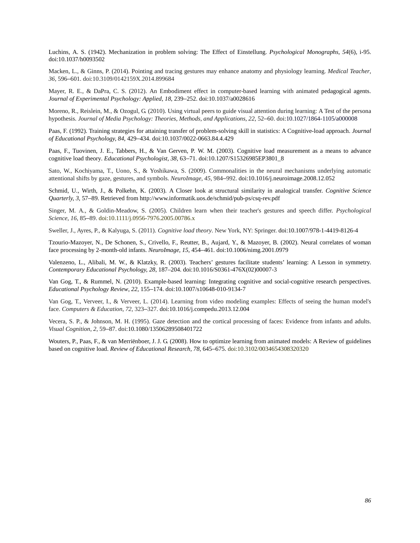Luchins, A. S. (1942). Mechanization in problem solving: The Effect of Einstellung. *Psychological Monographs, 54*(6), i-95. doi:10.1037/h0093502

Macken, L., & Ginns, P. (2014). Pointing and tracing gestures may enhance anatomy and physiology learning. *Medical Teacher*, *36,* 596–601. doi:10.3109/0142159X.2014.899684

Mayer, R. E., & DaPra, C. S. (2012). An Embodiment effect in computer-based learning with animated pedagogical agents. *Journal of Experimental Psychology: Applied*, *18*, 239–252. doi:10.1037/a0028616

Moreno, R., Reislein, M., & Ozogul, G. (2010). Using virtual peers to guide visual attention during learning: A Test of the persona hypothesis. *Journal of Media Psychology: Theories, Methods, and Applications*, *22*, 52–60. doi:10.1027/1864-1105/a000008

Paas, F. (1992). Training strategies for attaining transfer of problem-solving skill in statistics: A Cognitive-load approach. *Journal of Educational Psychology, 84,* 429–434. doi:10.1037/0022-0663.84.4.429

Paas, F., Tuovinen, J. E., Tabbers, H., & Van Gerven, P. W. M. (2003). Cognitive load measurement as a means to advance cognitive load theory. *Educational Psychologist, 38,* 63–71. doi:10.1207/S15326985EP3801\_8

Sato, W., Kochiyama, T., Uono, S., & Yoshikawa, S. (2009). Commonalities in the neural mechanisms underlying automatic attentional shifts by gaze, gestures, and symbols. *NeuroImage*, *45*, 984–992. [doi:10.1016/j.neuroimage.2008.12.052](http://dx.doi.org/10.1016/j.neuroimage.2008.12.052)

Schmid, U., Wirth, J., & Polkehn, K. (2003). A Closer look at structural similarity in analogical transfer. *Cognitive Science Quarterly, 3,* 57–89. Retrieved from<http://www.informatik.uos.de/schmid/pub-ps/csq-rev.pdf>

Singer, M. A., & Goldin-Meadow, S. (2005). Children learn when their teacher's gestures and speech differ. *Psychological Science*, *16*, 85–89. doi:10.1111/j.0956-7976.2005.00786.x

Sweller, J., Ayres, P., & Kalyuga, S. (2011). *Cognitive load theory*. New York, NY: Springer. doi:10.1007/978-1-4419-8126-4

Tzourio-Mazoyer, N., De Schonen, S., Crivello, F., Reutter, B., Aujard, Y., & Mazoyer, B. (2002). Neural correlates of woman face processing by 2-month-old infants. *NeuroImage*, *15*, 454–461. doi:10.1006/nimg.2001.0979

Valenzeno, L., Alibali, M. W., & Klatzky, R. (2003). Teachers' gestures facilitate students' learning: A Lesson in symmetry. *Contemporary Educational Psychology, 28*, 187–204. doi:10.1016/S0361-476X(02)00007-3

Van Gog, T., & Rummel, N. (2010). Example-based learning: Integrating cognitive and social-cognitive research perspectives. *Educational Psychology Review*, *22*, 155–174. doi:10.1007/s10648-010-9134-7

Van Gog, T., Verveer, I., & Verveer, L. (2014). Learning from video modeling examples: Effects of seeing the human model's face. *Computers & Education*, *72*, 323–327. [doi:10.1016/j.compedu.2013.12.004](http://dx.doi.org/10.1016/j.compedu.2013.12.004)

Vecera, S. P., & Johnson, M. H. (1995). Gaze detection and the cortical processing of faces: Evidence from infants and adults. *Visual Cognition*, *2*, 59–87. doi:10.1080/13506289508401722

Wouters, P., Paas, F., & van Merriënboer, J. J. G. (2008). How to optimize learning from animated models: A Review of guidelines based on cognitive load. *Review of Educational Research, 78,* 645–675. doi:10.3102/0034654308320320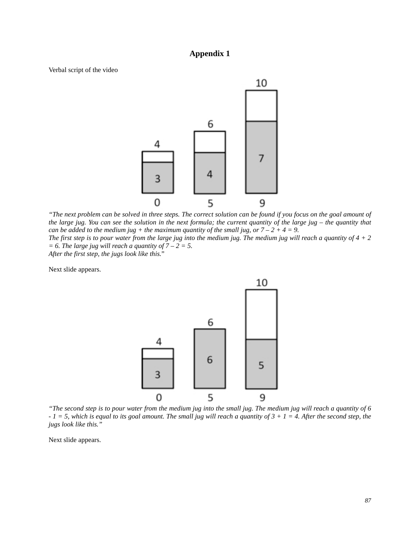# **Appendix 1**

Verbal script of the video



*"The next problem can be solved in three steps. The correct solution can be found if you focus on the goal amount of the large jug. You can see the solution in the next formula; the current quantity of the large jug – the quantity that can be added to the medium jug + the maximum quantity of the small jug, or*  $7 - 2 + 4 = 9$ .

*The first step is to pour water from the large jug into the medium jug. The medium jug will reach a quantity of*  $4 + 2$  $= 6$ . The large jug will reach a quantity of  $7 - 2 = 5$ .

*After the first step, the jugs look like this.*"

Next slide appears.



*"The second step is to pour water from the medium jug into the small jug. The medium jug will reach a quantity of 6 - 1 = 5, which is equal to its goal amount. The small jug will reach a quantity of 3 + 1 = 4. After the second step, the jugs look like this."*

Next slide appears.